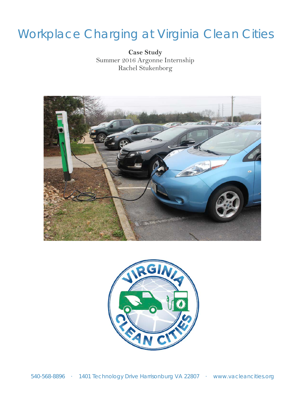# Workplace Charging at Virginia Clean Cities

**Case Study** Summer 2016 Argonne Internship Rachel Stukenborg



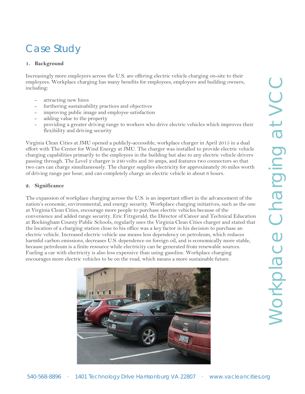# **1. Background**

Increasingly more employers across the U.S. are offering electric vehicle charging on-site to their employees. Workplace charging has many benefits for employees, employers and building owners, including:

- attracting new hires
- furthering sustainability practices and objectives
- improving public image and employee satisfaction
- adding value to the property
- providing a greater driving range to workers who drive electric vehicles which improves their flexibility and driving security

Virginia Clean Cities at JMU opened a publicly-accessible, workplace charger in April 2015 in a dual effort with The Center for Wind Energy at JMU. The charger was installed to provide electric vehicle charging capabilities primarily to the employees in the building but also to any electric vehicle drivers passing through. The Level 2 charger is 240 volts and 30 amps, and features two connectors so that two cars can charge simultaneously. The charger supplies electricity for approximately 30 miles worth of driving range per hour, and can completely charge an electric vehicle in about 6 hours.

# **2. Significance**

The expansion of workplace charging across the U.S. is an important effort in the advancement of the nation's economic, environmental, and energy security. Workplace charging initiatives, such as the one at Virginia Clean Cities, encourage more people to purchase electric vehicles because of the convenience and added range security. Eric Fitzgerald, the Director of Career and Technical Education at Rockingham County Public Schools, regularly uses the Virginia Clean Cities charger and stated that the location of a charging station close to his office was a key factor in his decision to purchase an electric vehicle. Increased electric vehicle use means less dependency on petroleum, which reduces harmful carbon emissions, decreases U.S. dependence on foreign oil, and is economically more stable, because petroleum is a finite resource while electricity can be generated from renewable sources. Fueling a car with electricity is also less expensive than using gasoline. Workplace charging encourages more electric vehicles to be on the road, which means a more sustainable future.

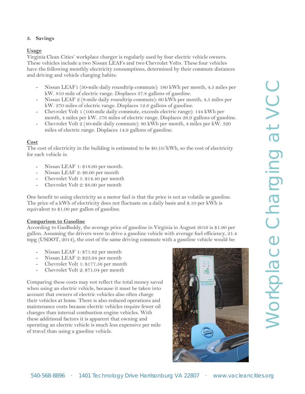# **3. Savings**

#### **Usage**

Virginia Clean Cities' workplace charger is regularly used by four electric vehicle owners. These vehicles include a two Nissan LEAFs and two Chevrolet Volts. These four vehicles have the following monthly electricity consumptions, determined by their commute distances and driving and vehicle charging habits:

- Nissan LEAF1 (30-mile daily roundtrip commute): 180 kWh per month, 4.5 miles per kW. 810 mile of electric range. Displaces 37.8 gallons of gasoline.
- Nissan LEAF 2 (8-mile daily roundtrip commute): 60 kWh per month, 4.5 miles per kW. 270 miles of electric range. Displaces 12.6 gallons of gasoline.
- Chevrolet Volt 1 (100-mile daily commute, exceeds electric range): 144 kWh per month, 4 miles per kW. 576 miles of electric range. Displaces 26.9 gallons of gasoline.
- Chevrolet Volt 2 (40-mile daily commute): 80 kWh per month, 4 miles per kW. 320 miles of electric range. Displaces 14.9 gallons of gasoline.

#### **Cost**

The cost of electricity in the building is estimated to be \$0.10/kWh, so the cost of electricity for each vehicle is:

- Nissan LEAF 1: \$18.00 per month.
- Nissan LEAF 2: \$6.00 per month
- Chevrolet Volt 1: \$14.40 per month
- Chevrolet Volt 2: \$8.00 per month

One benefit to using electricity as a motor fuel is that the price is not as volatile as gasoline. The price of a kWh of electricity does not fluctuate on a daily basis and \$.10 per kWh is equivalent to \$1.00 per gallon of gasoline.

#### **Comparison to Gasoline**

According to GasBuddy, the average price of gasoline in Virginia in August 2016 is \$1.90 per gallon. Assuming the drivers were to drive a gasoline vehicle with average fuel efficiency, 21.4 mpg (USDOT, 2014), the cost of the same driving commute with a gasoline vehicle would be:

- Nissan LEAF 1: \$71.82 per month
- Nissan LEAF 2: \$23.94 per month
- Chevrolet Volt 1: \$177.56 per month
- Chevrolet Volt 2: \$71.04 per month

Comparing these costs may not reflect the total money saved when using an electric vehicle, because it must be taken into account that owners of electric vehicles also often charge their vehicles at home. There is also reduced operations and maintenance costs because electric vehicles require fewer oil changes than internal combustion engine vehicles. With these additional factors it is apparent that owning and operating an electric vehicle is much less expensive per mile of travel than using a gasoline vehicle.

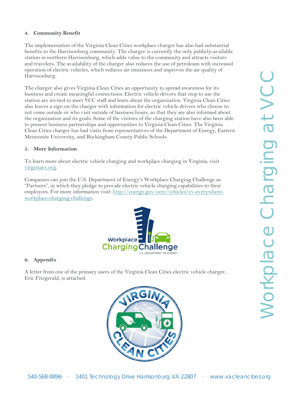# **4. Community Benefit**

The implementation of the Virginia Clean Cities workplace charger has also had substantial benefits to the Harrisonburg community. The charger is currently the only publicly-available station in northern Harrisonburg, which adds value to the community and attracts visitors and travelers. The availability of the charger also reduces the use of petroleum with increased operation of electric vehicles, which reduces air emissions and improves the air quality of Harrisonburg.

The charger also gives Virginia Clean Cities an opportunity to spread awareness for its business and create meaningful connections. Electric vehicle drivers that stop to use the station are invited to meet VCC staff and learn about the organization. Virginia Clean Cities also leaves a sign on the charger with information for electric vehicle drivers who choose to not come outside or who visit outside of business hours, so that they are also informed about the organization and its goals. Some of the visitors of the charging station have also been able to present business partnerships and opportunities to Virginia Clean Cities. The Virginia Clean Cities charger has had visits from representatives of the Department of Energy, Eastern Mennonite University, and Rockingham County Public Schools.

# **5. More Information**

To learn more about electric vehicle charging and workplace charging in Virginia, visit [virginiaev.org.](http://www.virginiaev.org/)

Companies can join the U.S. Department of Energy's Workplace Charging Challenge as "Partners", in which they pledge to provide electric vehicle charging capabilities to their employees. For more information visit: [http://energy.gov/eere/vehicles/ev-everywhere](http://energy.gov/eere/vehicles/ev-everywhere-workplace-charging-challenge)[workplace-charging-challenge.](http://energy.gov/eere/vehicles/ev-everywhere-workplace-charging-challenge)



# **6. Appendix**

A letter from one of the primary users of the Virginia Clean Cities electric vehicle charger, Eric Fitzgerald, is attached.